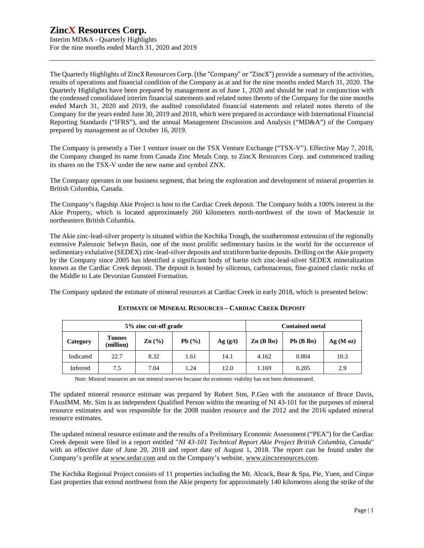Interim MD&A - Quarterly Highlights For the nine months ended March 31, 2020 and 2019

The Quarterly Highlights of ZincX Resources Corp. (the "Company" or "ZincX") provide a summary of the activities, results of operations and financial condition of the Company as at and for the nine months ended March 31, 2020. The Quarterly Highlights have been prepared by management as of June 1, 2020 and should be read in conjunction with the condensed consolidated interim financial statements and related notes thereto of the Company for the nine months ended March 31, 2020 and 2019, the audited consolidated financial statements and related notes thereto of the Company for the years ended June 30, 2019 and 2018, which were prepared in accordance with International Financial Reporting Standards ("IFRS"), and the annual Management Discussion and Analysis ("MD&A") of the Company prepared by management as of October 16, 2019.

The Company is presently a Tier 1 venture issuer on the TSX Venture Exchange ("TSX-V"). Effective May 7, 2018, the Company changed its name from Canada Zinc Metals Corp. to ZincX Resources Corp. and commenced trading its shares on the TSX-V under the new name and symbol ZNX.

The Company operates in one business segment, that being the exploration and development of mineral properties in British Columbia, Canada.

The Company's flagship Akie Project is host to the Cardiac Creek deposit. The Company holds a 100% interest in the Akie Property, which is located approximately 260 kilometers north-northwest of the town of Mackenzie in northeastern British Columbia.

The Akie zinc-lead-silver property is situated within the Kechika Trough, the southernmost extension of the regionally extensive Paleozoic Selwyn Basin, one of the most prolific sedimentary basins in the world for the occurrence of sedimentary exhalative (SEDEX) zinc-lead-silver deposits and stratiform barite deposits. Drilling on the Akie property by the Company since 2005 has identified a significant body of barite rich zinc-lead-silver SEDEX mineralization known as the Cardiac Creek deposit. The deposit is hosted by siliceous, carbonaceous, fine-grained clastic rocks of the Middle to Late Devonian Gunsteel Formation.

The Company updated the estimate of mineral resources at Cardiac Creek in early 2018, which is presented below:

| 5% zinc cut-off grade |                            |                   |       |                                                  | <b>Contained metal</b> |              |         |  |  |
|-----------------------|----------------------------|-------------------|-------|--------------------------------------------------|------------------------|--------------|---------|--|--|
| Category              | <b>Tonnes</b><br>(million) | $\mathbf{Zn}$ (%) | Pb(%) | $\mathbf{Zn}$ (B lbs)<br>Ag(g/t)<br>14.1<br>12.0 |                        | $Pb$ (B lbs) | Ag(Moz) |  |  |
| Indicated             | 22.7                       | 8.32              | 1.61  |                                                  | 4.162                  | 0.804        | 10.3    |  |  |
| Inferred              | 7.5                        | 7.04              | 1.24  |                                                  | 1.169                  | 0.205        | 2.9     |  |  |

#### **ESTIMATE OF MINERAL RESOURCES – CARDIAC CREEK DEPOSIT**

Note: Mineral resources are not mineral reserves because the economic viability has not been demonstrated.

The updated mineral resource estimate was prepared by Robert Sim, P.Geo with the assistance of Bruce Davis, FAusIMM. Mr. Sim is an independent Qualified Person within the meaning of NI 43-101 for the purposes of mineral resource estimates and was responsible for the 2008 maiden resource and the 2012 and the 2016 updated mineral resource estimates.

The updated mineral resource estimate and the results of a Preliminary Economic Assessment ("PEA") for the Cardiac Creek deposit were filed in a report entitled "*NI 43-101 Technical Report Akie Project British Columbia, Canada*" with an effective date of June 20, 2018 and report date of August 1, 2018. The report can be found under the Company's profile at [www.sedar.com](http://www.sedar.com) and on the Company's website, [www.zincxresources.com.](http://www.zincxresources.com)

The Kechika Regional Project consists of 11 properties including the Mt. Alcock, Bear & Spa, Pie, Yuen, and Cirque East properties that extend northwest from the Akie property for approximately 140 kilometres along the strike of the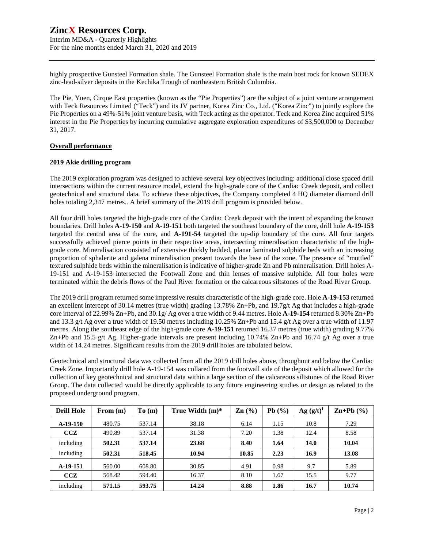Interim MD&A - Quarterly Highlights For the nine months ended March 31, 2020 and 2019

highly prospective Gunsteel Formation shale. The Gunsteel Formation shale is the main host rock for known SEDEX zinc-lead-silver deposits in the Kechika Trough of northeastern British Columbia.

The Pie, Yuen, Cirque East properties (known as the "Pie Properties") are the subject of a joint venture arrangement with Teck Resources Limited ("Teck") and its JV partner, Korea Zinc Co., Ltd. ("Korea Zinc") to jointly explore the Pie Properties on a 49%-51% joint venture basis, with Teck acting as the operator. Teck and Korea Zinc acquired 51% interest in the Pie Properties by incurring cumulative aggregate exploration expenditures of \$3,500,000 to December 31, 2017.

#### **Overall performance**

#### **2019 Akie drilling program**

The 2019 exploration program was designed to achieve several key objectives including: additional close spaced drill intersections within the current resource model, extend the high-grade core of the Cardiac Creek deposit, and collect geotechnical and structural data. To achieve these objectives, the Company completed 4 HQ diameter diamond drill holes totaling 2,347 metres.. A brief summary of the 2019 drill program is provided below.

All four drill holes targeted the high-grade core of the Cardiac Creek deposit with the intent of expanding the known boundaries. Drill holes **A-19-150** and **A-19-151** both targeted the southeast boundary of the core, drill hole **A-19-153** targeted the central area of the core, and **A-191-54** targeted the up-dip boundary of the core. All four targets successfully achieved pierce points in their respective areas, intersecting mineralisation characteristic of the highgrade core. Mineralisation consisted of extensive thickly bedded, planar laminated sulphide beds with an increasing proportion of sphalerite and galena mineralisation present towards the base of the zone. The presence of "mottled" textured sulphide beds within the mineralisation is indicative of higher-grade Zn and Pb mineralisation. Drill holes A-19-151 and A-19-153 intersected the Footwall Zone and thin lenses of massive sulphide. All four holes were terminated within the debris flows of the Paul River formation or the calcareous siltstones of the Road River Group.

The 2019 drill program returned some impressive results characteristic of the high-grade core. Hole **A-19-153** returned an excellent intercept of 30.14 metres (true width) grading 13.78% Zn+Pb, and 19.7g/t Ag that includes a high-grade core interval of 22.99% Zn+Pb, and 30.1g/ Ag over a true width of 9.44 metres. Hole **A-19-154** returned 8.30% Zn+Pb and 13.3 g/t Ag over a true width of 19.50 metres including 10.25% Zn+Pb and 15.4 g/t Ag over a true width of 11.97 metres. Along the southeast edge of the high-grade core **A-19-151** returned 16.37 metres (true width) grading 9.77% Zn+Pb and 15.5 g/t Ag. Higher-grade intervals are present including 10.74% Zn+Pb and 16.74 g/t Ag over a true width of 14.24 metres. Significant results from the 2019 drill holes are tabulated below.

Geotechnical and structural data was collected from all the 2019 drill holes above, throughout and below the Cardiac Creek Zone. Importantly drill hole A-19-154 was collared from the footwall side of the deposit which allowed for the collection of key geotechnical and structural data within a large section of the calcareous siltstones of the Road River Group. The data collected would be directly applicable to any future engineering studies or design as related to the proposed underground program.

| <b>Drill Hole</b> | From (m) | To(m)  | True Width $(m)^*$ | $\mathbf{Zn}$ (%) | Pb $(\%)$ | $Ag (g/t)^{f}$ | $\mathbf{Zn+Pb}$ (%) |
|-------------------|----------|--------|--------------------|-------------------|-----------|----------------|----------------------|
| $A-19-150$        | 480.75   | 537.14 | 38.18              | 6.14              | 1.15      | 10.8           | 7.29                 |
| CCZ               | 490.89   | 537.14 | 31.38              | 7.20              | 1.38      | 12.4           | 8.58                 |
| including         | 502.31   | 537.14 | 23.68              | 8.40              | 1.64      | 14.0           | 10.04                |
| including         | 502.31   | 518.45 | 10.94              | 10.85             | 2.23      | 16.9           | 13.08                |
| A-19-151          | 560.00   | 608.80 | 30.85              | 4.91              | 0.98      | 9.7            | 5.89                 |
| CCZ               | 568.42   | 594.40 | 16.37              | 8.10              | 1.67      | 15.5           | 9.77                 |
| including         | 571.15   | 593.75 | 14.24              | 8.88              | 1.86      | 16.7           | 10.74                |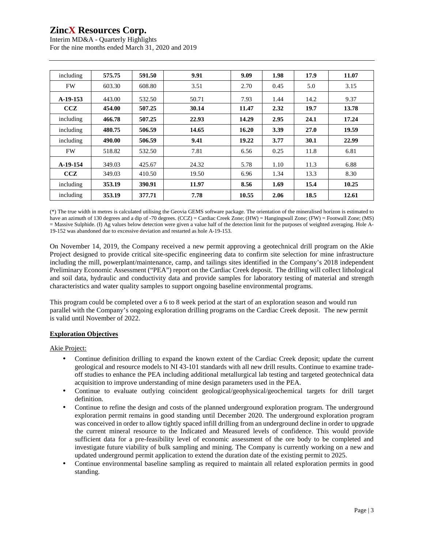Interim MD&A - Quarterly Highlights For the nine months ended March 31, 2020 and 2019

| including | 575.75 | 591.50 | 9.91  | 9.09  | 1.98 | 17.9 | 11.07 |
|-----------|--------|--------|-------|-------|------|------|-------|
| <b>FW</b> | 603.30 | 608.80 | 3.51  | 2.70  | 0.45 | 5.0  | 3.15  |
| A-19-153  | 443.00 | 532.50 | 50.71 | 7.93  | 1.44 | 14.2 | 9.37  |
| CCZ       | 454.00 | 507.25 | 30.14 | 11.47 | 2.32 | 19.7 | 13.78 |
| including | 466.78 | 507.25 | 22.93 | 14.29 | 2.95 | 24.1 | 17.24 |
| including | 480.75 | 506.59 | 14.65 | 16.20 | 3.39 | 27.0 | 19.59 |
| including | 490.00 | 506.59 | 9.41  | 19.22 | 3.77 | 30.1 | 22.99 |
| <b>FW</b> | 518.82 | 532.50 | 7.81  | 6.56  | 0.25 | 11.8 | 6.81  |
| A-19-154  | 349.03 | 425.67 | 24.32 | 5.78  | 1.10 | 11.3 | 6.88  |
| ccz       | 349.03 | 410.50 | 19.50 | 6.96  | 1.34 | 13.3 | 8.30  |
| including | 353.19 | 390.91 | 11.97 | 8.56  | 1.69 | 15.4 | 10.25 |
| including | 353.19 | 377.71 | 7.78  | 10.55 | 2.06 | 18.5 | 12.61 |

(\*) The true width in metres is calculated utilising the Geovia GEMS software package. The orientation of the mineralised horizon is estimated to have an azimuth of 130 degrees and a dip of -70 degrees. (CCZ) = Cardiac Creek Zone; (HW) = Hangingwall Zone; (FW) = Footwall Zone; (MS) = Massive Sulphide. (I) Ag values below detection were given a value half of the detection limit for the purposes of weighted averaging. Hole A-19-152 was abandoned due to excessive deviation and restarted as hole A-19-153.

On November 14, 2019, the Company received a new permit approving a geotechnical drill program on the Akie Project designed to provide critical site-specific engineering data to confirm site selection for mine infrastructure including the mill, powerplant/maintenance, camp, and tailings sites identified in the Company's 2018 independent Preliminary Economic Assessment ("PEA") report on the Cardiac Creek deposit. The drilling will collect lithological and soil data, hydraulic and conductivity data and provide samples for laboratory testing of material and strength characteristics and water quality samples to support ongoing baseline environmental programs.

This program could be completed over a 6 to 8 week period at the start of an exploration season and would run parallel with the Company's ongoing exploration drilling programs on the Cardiac Creek deposit. The new permit is valid until November of 2022.

### **Exploration Objectives**

#### Akie Project:

- Continue definition drilling to expand the known extent of the Cardiac Creek deposit; update the current geological and resource models to NI 43-101 standards with all new drill results. Continue to examine tradeoff studies to enhance the PEA including additional metallurgical lab testing and targeted geotechnical data acquisition to improve understanding of mine design parameters used in the PEA.
- Continue to evaluate outlying coincident geological/geophysical/geochemical targets for drill target definition.
- Continue to refine the design and costs of the planned underground exploration program. The underground exploration permit remains in good standing until December 2020. The underground exploration program was conceived in order to allow tightly spaced infill drilling from an underground decline in order to upgrade the current mineral resource to the Indicated and Measured levels of confidence. This would provide sufficient data for a pre-feasibility level of economic assessment of the ore body to be completed and investigate future viability of bulk sampling and mining. The Company is currently working on a new and updated underground permit application to extend the duration date of the existing permit to 2025.
- Continue environmental baseline sampling as required to maintain all related exploration permits in good standing.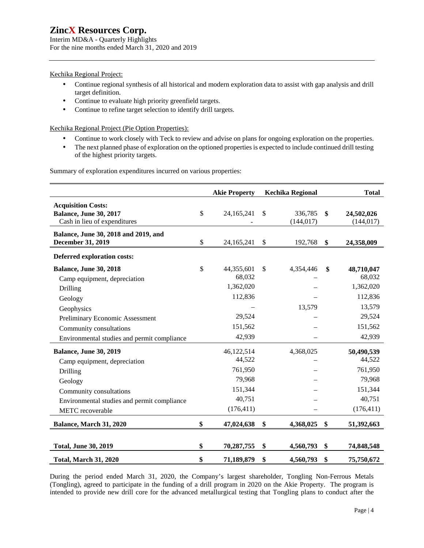Interim MD&A - Quarterly Highlights For the nine months ended March 31, 2020 and 2019

### Kechika Regional Project:

- $\epsilon$ Continue regional synthesis of all historical and modern exploration data to assist with gap analysis and drill target definition.
- Continue to evaluate high priority greenfield targets. ł,
- Continue to refine target selection to identify drill targets. ÷,

Kechika Regional Project (Pie Option Properties):

- Continue to work closely with Teck to review and advise on plans for ongoing exploration on the properties.
- ċ, The next planned phase of exploration on the optioned properties is expected to include continued drill testing of the highest priority targets.

Summary of exploration expenditures incurred on various properties:

|                                                                                                                                                                                    | <b>Akie Property</b>                                                         |               | <b>Kechika Regional</b> | <b>Total</b>                                                                      |
|------------------------------------------------------------------------------------------------------------------------------------------------------------------------------------|------------------------------------------------------------------------------|---------------|-------------------------|-----------------------------------------------------------------------------------|
| <b>Acquisition Costs:</b><br><b>Balance, June 30, 2017</b><br>Cash in lieu of expenditures                                                                                         | \$<br>24, 165, 241                                                           | $\mathcal{S}$ | 336,785<br>(144, 017)   | \$<br>24,502,026<br>(144, 017)                                                    |
| Balance, June 30, 2018 and 2019, and<br>December 31, 2019                                                                                                                          | \$<br>24,165,241                                                             | \$            | 192,768                 | \$<br>24,358,009                                                                  |
| Deferred exploration costs:                                                                                                                                                        |                                                                              |               |                         |                                                                                   |
| <b>Balance, June 30, 2018</b><br>Camp equipment, depreciation<br>Drilling<br>Geology<br>Geophysics<br>Preliminary Economic Assessment<br>Community consultations                   | \$<br>44,355,601<br>68,032<br>1,362,020<br>112,836<br>29,524<br>151,562      | $\mathbb{S}$  | 4,354,446<br>13,579     | \$<br>48,710,047<br>68,032<br>1,362,020<br>112,836<br>13,579<br>29,524<br>151,562 |
| Environmental studies and permit compliance                                                                                                                                        | 42,939                                                                       |               |                         | 42,939                                                                            |
| <b>Balance, June 30, 2019</b><br>Camp equipment, depreciation<br>Drilling<br>Geology<br>Community consultations<br>Environmental studies and permit compliance<br>METC recoverable | 46,122,514<br>44,522<br>761,950<br>79,968<br>151,344<br>40,751<br>(176, 411) |               | 4,368,025               | 50,490,539<br>44,522<br>761,950<br>79,968<br>151,344<br>40,751<br>(176, 411)      |
| Balance, March 31, 2020                                                                                                                                                            | \$<br>47,024,638                                                             | \$            | 4,368,025               | \$<br>51,392,663                                                                  |
| <b>Total, June 30, 2019</b>                                                                                                                                                        | \$<br>70,287,755                                                             | \$            | 4,560,793               | \$<br>74,848,548                                                                  |
| <b>Total, March 31, 2020</b>                                                                                                                                                       | \$<br>71,189,879                                                             | \$            | 4,560,793               | \$<br>75,750,672                                                                  |

During the period ended March 31, 2020, the Company's largest shareholder, Tongling Non-Ferrous Metals (Tongling), agreed to participate in the funding of a drill program in 2020 on the Akie Property. The program is intended to provide new drill core for the advanced metallurgical testing that Tongling plans to conduct after the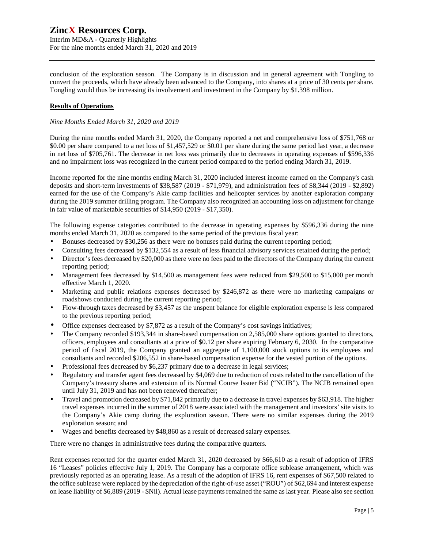Interim MD&A - Quarterly Highlights For the nine months ended March 31, 2020 and 2019

conclusion of the exploration season. The Company is in discussion and in general agreement with Tongling to convert the proceeds, which have already been advanced to the Company, into shares at a price of 30 cents per share. Tongling would thus be increasing its involvement and investment in the Company by \$1.398 million.

### **Results of Operations**

#### *Nine Months Ended March 31, 2020 and 2019*

During the nine months ended March 31, 2020, the Company reported a net and comprehensive loss of \$751,768 or \$0.00 per share compared to a net loss of \$1,457,529 or \$0.01 per share during the same period last year, a decrease in net loss of \$705,761. The decrease in net loss was primarily due to decreases in operating expenses of \$596,336 and no impairment loss was recognized in the current period compared to the period ending March 31, 2019.

Income reported for the nine months ending March 31, 2020 included interest income earned on the Company's cash deposits and short-term investments of \$38,587 (2019 - \$71,979), and administration fees of \$8,344 (2019 - \$2,892) earned for the use of the Company's Akie camp facilities and helicopter services by another exploration company during the 2019 summer drilling program. The Company also recognized an accounting loss on adjustment for change in fair value of marketable securities of \$14,950 (2019 - \$17,350).

The following expense categories contributed to the decrease in operating expenses by \$596,336 during the nine months ended March 31, 2020 as compared to the same period of the previous fiscal year:

- Bonuses decreased by \$30,256 as there were no bonuses paid during the current reporting period;
- Consulting fees decreased by \$132,554 as a result of less financial advisory services retained during the period;
- Director's fees decreased by \$20,000 as there were no fees paid to the directors of the Company during the current reporting period;
- Management fees decreased by \$14,500 as management fees were reduced from \$29,500 to \$15,000 per month effective March 1, 2020.
- Marketing and public relations expenses decreased by \$246,872 as there were no marketing campaigns or roadshows conducted during the current reporting period;
- Flow-through taxes decreased by \$3,457 as the unspent balance for eligible exploration expense is less compared to the previous reporting period;
- Office expenses decreased by \$7,872 as a result of the Company's cost savings initiatives;
- The Company recorded \$193,344 in share-based compensation on 2,585,000 share options granted to directors, officers, employees and consultants at a price of \$0.12 per share expiring February 6, 2030. In the comparative period of fiscal 2019, the Company granted an aggregate of 1,100,000 stock options to its employees and consultants and recorded \$206,552 in share-based compensation expense for the vested portion of the options.
- Professional fees decreased by \$6,237 primary due to a decrease in legal services;
- Regulatory and transfer agent fees decreased by \$4,069 due to reduction of costs related to the cancellation of the Company's treasury shares and extension of its Normal Course Issuer Bid ("NCIB"). The NCIB remained open until July 31, 2019 and has not been renewed thereafter;
- Travel and promotion decreased by \$71,842 primarily due to a decrease in travel expenses by \$63,918. The higher travel expenses incurred in the summer of 2018 were associated with the management and investors' site visits to the Company's Akie camp during the exploration season. There were no similar expenses during the 2019 exploration season; and
- Wages and benefits decreased by \$48,860 as a result of decreased salary expenses.

There were no changes in administrative fees during the comparative quarters.

Rent expenses reported for the quarter ended March 31, 2020 decreased by \$66,610 as a result of adoption of IFRS 16 "Leases" policies effective July 1, 2019. The Company has a corporate office sublease arrangement, which was previously reported as an operating lease. As a result of the adoption of IFRS 16, rent expenses of \$67,500 related to the office sublease were replaced by the depreciation of the right-of-use asset ("ROU") of \$62,694 and interest expense on lease liability of \$6,889 (2019 - \$Nil). Actual lease payments remained the same as last year. Please also see section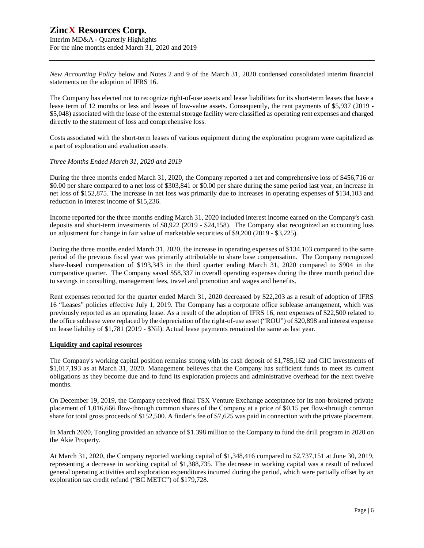Interim MD&A - Quarterly Highlights For the nine months ended March 31, 2020 and 2019

*New Accounting Policy* below and Notes 2 and 9 of the March 31, 2020 condensed consolidated interim financial statements on the adoption of IFRS 16.

The Company has elected not to recognize right-of-use assets and lease liabilities for its short-term leases that have a lease term of 12 months or less and leases of low-value assets. Consequently, the rent payments of \$5,937 (2019 -\$5,048) associated with the lease of the external storage facility were classified as operating rent expenses and charged directly to the statement of loss and comprehensive loss.

Costs associated with the short-term leases of various equipment during the exploration program were capitalized as a part of exploration and evaluation assets.

#### *Three Months Ended March 31, 2020 and 2019*

During the three months ended March 31, 2020, the Company reported a net and comprehensive loss of \$456,716 or \$0.00 per share compared to a net loss of \$303,841 or \$0.00 per share during the same period last year, an increase in net loss of \$152,875. The increase in net loss was primarily due to increases in operating expenses of \$134,103 and reduction in interest income of \$15,236.

Income reported for the three months ending March 31, 2020 included interest income earned on the Company's cash deposits and short-term investments of \$8,922 (2019 - \$24,158). The Company also recognized an accounting loss on adjustment for change in fair value of marketable securities of \$9,200 (2019 - \$3,225).

During the three months ended March 31, 2020, the increase in operating expenses of \$134,103 compared to the same period of the previous fiscal year was primarily attributable to share base compensation. The Company recognized share-based compensation of \$193,343 in the third quarter ending March 31, 2020 compared to \$904 in the comparative quarter. The Company saved \$58,337 in overall operating expenses during the three month period due to savings in consulting, management fees, travel and promotion and wages and benefits.

Rent expenses reported for the quarter ended March 31, 2020 decreased by \$22,203 as a result of adoption of IFRS 16 "Leases" policies effective July 1, 2019. The Company has a corporate office sublease arrangement, which was previously reported as an operating lease. As a result of the adoption of IFRS 16, rent expenses of \$22,500 related to the office sublease were replaced by the depreciation of the right-of-use asset ("ROU") of \$20,898 and interest expense on lease liability of \$1,781 (2019 - \$Nil). Actual lease payments remained the same as last year.

#### **Liquidity and capital resources**

The Company's working capital position remains strong with its cash deposit of \$1,785,162 and GIC investments of \$1,017,193 as at March 31, 2020. Management believes that the Company has sufficient funds to meet its current obligations as they become due and to fund its exploration projects and administrative overhead for the next twelve months.

On December 19, 2019, the Company received final TSX Venture Exchange acceptance for its non-brokered private placement of 1,016,666 flow-through common shares of the Company at a price of \$0.15 per flow-through common share for total gross proceeds of \$152,500. A finder's fee of \$7,625 was paid in connection with the private placement.

In March 2020, Tongling provided an advance of \$1.398 million to the Company to fund the drill program in 2020 on the Akie Property.

At March 31, 2020, the Company reported working capital of \$1,348,416 compared to \$2,737,151 at June 30, 2019, representing a decrease in working capital of \$1,388,735. The decrease in working capital was a result of reduced general operating activities and exploration expenditures incurred during the period, which were partially offset by an exploration tax credit refund ("BC METC") of \$179,728.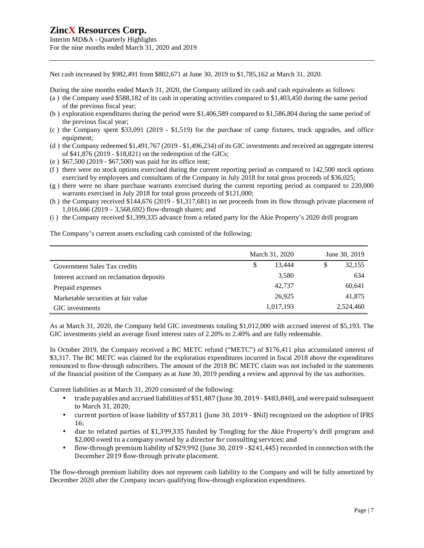Interim MD&A - Quarterly Highlights For the nine months ended March 31, 2020 and 2019

Net cash increased by \$982,491 from \$802,671 at June 30, 2019 to \$1,785,162 at March 31, 2020.

During the nine months ended March 31, 2020, the Company utilized its cash and cash equivalents as follows:

- (a ) the Company used \$588,182 of its cash in operating activities compared to \$1,403,450 during the same period of the previous fiscal year;
- (b ) exploration expenditures during the period were \$1,406,589 compared to \$1,586,804 during the same period of the previous fiscal year;
- (c ) the Company spent \$33,091 (2019 \$1,519) for the purchase of camp fixtures, truck upgrades, and office equipment;
- (d ) the Company redeemed \$1,491,767 (2019 \$1,496,234) of its GIC investments and received an aggregate interest of \$41,876 (2019 - \$18,821) on the redemption of the GICs;
- (e ) \$67,500 (2019 \$67,500) was paid for its office rent;
- (f ) there were no stock options exercised during the current reporting period as compared to 142,500 stock options exercised by employees and consultants of the Company in July 2018 for total gross proceeds of \$36,025;
- (g ) there were no share purchase warrants exercised during the current reporting period as compared to 220,000 warrants exercised in July 2018 for total gross proceeds of \$121,000;
- (h ) the Company received \$144,676 (2019 \$1,317,681) in net proceeds from its flow through private placement of 1,016,666 (2019 – 3,568,692) flow-through shares; and
- (i ) the Company received \$1,399,335 advance from a related party for the Akie Property's 2020 drill program

The Company's current assets excluding cash consisted of the following:

|                                          | March 31, 2020 | June 30, 2019 |  |  |
|------------------------------------------|----------------|---------------|--|--|
| Government Sales Tax credits             | 13.444<br>\$   | 32,155<br>S   |  |  |
| Interest accrued on reclamation deposits | 3,580          | 634           |  |  |
| Prepaid expenses                         | 42,737         | 60,641        |  |  |
| Marketable securities at fair value      | 26,925         | 41,875        |  |  |
| GIC investments                          | 1,017,193      | 2,524,460     |  |  |

As at March 31, 2020, the Company held GIC investments totaling \$1,012,000 with accrued interest of \$5,193. The GIC investments yield an average fixed interest rates of 2.20% to 2.40% and are fully redeemable.

In October 2019, the Company received a BC METC refund ("METC") of \$176,411 plus accumulated interest of \$3,317. The BC METC was claimed for the exploration expenditures incurred in fiscal 2018 above the expenditures renounced to flow-through subscribers. The amount of the 2018 BC METC claim was not included in the statements of the financial position of the Company as at June 30, 2019 pending a review and approval by the tax authorities.

Current liabilities as at March 31, 2020 consisted of the following:

- trade payables and accrued liabilities of \$51,487 (June 30, 2019 \$483,840), and were paid subsequent to March 31, 2020;
- current portion of lease liability of \$57,811 (June 30, 2019 \$Nil) recognized on the adoption of IFRS ä, 16;
- due to related parties of \$1,399,335 funded by Tongling for the Akie Property's drill program and ä, \$2,000 owed to a company owned by a director for consulting services; and
- flow-through premium liability of \$29,992 (June 30, 2019 \$241,445) recorded in connection with the December 2019 flow-through private placement.

The flow-through premium liability does not represent cash liability to the Company and will be fully amortized by December 2020 after the Company incurs qualifying flow-through exploration expenditures.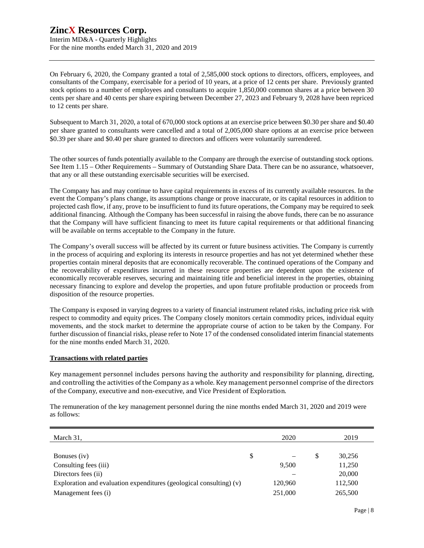Interim MD&A - Quarterly Highlights For the nine months ended March 31, 2020 and 2019

On February 6, 2020, the Company granted a total of 2,585,000 stock options to directors, officers, employees, and consultants of the Company, exercisable for a period of 10 years, at a price of 12 cents per share. Previously granted stock options to a number of employees and consultants to acquire 1,850,000 common shares at a price between 30 cents per share and 40 cents per share expiring between December 27, 2023 and February 9, 2028 have been repriced to 12 cents per share.

Subsequent to March 31, 2020, a total of 670,000 stock options at an exercise price between \$0.30 per share and \$0.40 per share granted to consultants were cancelled and a total of 2,005,000 share options at an exercise price between \$0.39 per share and \$0.40 per share granted to directors and officers were voluntarily surrendered.

The other sources of funds potentially available to the Company are through the exercise of outstanding stock options. See Item 1.15 – Other Requirements – Summary of Outstanding Share Data. There can be no assurance, whatsoever, that any or all these outstanding exercisable securities will be exercised.

The Company has and may continue to have capital requirements in excess of its currently available resources. In the event the Company's plans change, its assumptions change or prove inaccurate, or its capital resources in addition to projected cash flow, if any, prove to be insufficient to fund its future operations, the Company may be required to seek additional financing. Although the Company has been successful in raising the above funds, there can be no assurance that the Company will have sufficient financing to meet its future capital requirements or that additional financing will be available on terms acceptable to the Company in the future.

The Company's overall success will be affected by its current or future business activities. The Company is currently in the process of acquiring and exploring its interests in resource properties and has not yet determined whether these properties contain mineral deposits that are economically recoverable. The continued operations of the Company and the recoverability of expenditures incurred in these resource properties are dependent upon the existence of economically recoverable reserves, securing and maintaining title and beneficial interest in the properties, obtaining necessary financing to explore and develop the properties, and upon future profitable production or proceeds from disposition of the resource properties.

The Company is exposed in varying degrees to a variety of financial instrument related risks, including price risk with respect to commodity and equity prices. The Company closely monitors certain commodity prices, individual equity movements, and the stock market to determine the appropriate course of action to be taken by the Company. For further discussion of financial risks, please refer to Note 17 of the condensed consolidated interim financial statements for the nine months ended March 31, 2020.

### **Transactions with related parties**

Key management personnel includes persons having the authority and responsibility for planning, directing, and controlling the activities of the Company as a whole. Key management personnel comprise of the directors of the Company, executive and non-executive, and Vice President of Exploration.

The remuneration of the key management personnel during the nine months ended March 31, 2020 and 2019 were as follows:

| March 31,                                                             | 2020    |   | 2019    |
|-----------------------------------------------------------------------|---------|---|---------|
|                                                                       |         |   |         |
| Bonuses (iv)                                                          | \$      | S | 30,256  |
| Consulting fees (iii)                                                 | 9.500   |   | 11,250  |
| Directors fees (ii)                                                   |         |   | 20,000  |
| Exploration and evaluation expenditures (geological consulting) $(v)$ | 120,960 |   | 112,500 |
| Management fees (i)                                                   | 251,000 |   | 265,500 |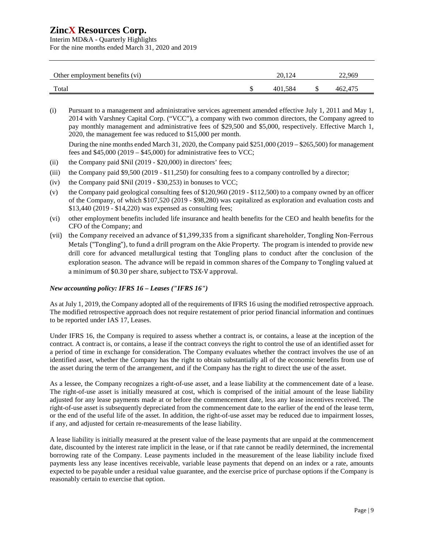Interim MD&A - Quarterly Highlights For the nine months ended March 31, 2020 and 2019

| Other employment benefits (vi) | 20.124  | 22.969  |
|--------------------------------|---------|---------|
| Total                          | 401.584 | 462,475 |

(i) Pursuant to a management and administrative services agreement amended effective July 1, 2011 and May 1, 2014 with Varshney Capital Corp. ("VCC"), a company with two common directors, the Company agreed to pay monthly management and administrative fees of \$29,500 and \$5,000, respectively. Effective March 1, 2020, the management fee was reduced to \$15,000 per month.

During the nine months ended March 31, 2020, the Company paid \$251,000 (2019 – \$265,500) for management fees and \$45,000 (2019 – \$45,000) for administrative fees to VCC;

- (ii) the Company paid  $Nil$  (2019 \$20,000) in directors' fees;
- (iii) the Company paid \$9,500 (2019 \$11,250) for consulting fees to a company controlled by a director;
- (iv) the Company paid  $Nil$  (2019 \$30,253) in bonuses to VCC;
- (v) the Company paid geological consulting fees of \$120,960 (2019 \$112,500) to a company owned by an officer of the Company, of which \$107,520 (2019 - \$98,280) was capitalized as exploration and evaluation costs and \$13,440 (2019 - \$14,220) was expensed as consulting fees;
- (vi) other employment benefits included life insurance and health benefits for the CEO and health benefits for the CFO of the Company; and
- (vii) the Company received an advance of \$1,399,335 from a significant shareholder, Tongling Non-Ferrous Metals ("Tongling"), to fund a drill program on the Akie Property. The program is intended to provide new drill core for advanced metallurgical testing that Tongling plans to conduct after the conclusion of the exploration season. The advance will be repaid in common shares of the Company to Tongling valued at a minimum of \$0.30 per share, subject to TSX-V approval.

#### *New accounting policy: IFRS 16 – Leases ("IFRS 16")*

As at July 1, 2019, the Company adopted all of the requirements of IFRS 16 using the modified retrospective approach. The modified retrospective approach does not require restatement of prior period financial information and continues to be reported under IAS 17, Leases.

Under IFRS 16, the Company is required to assess whether a contract is, or contains, a lease at the inception of the contract. A contract is, or contains, a lease if the contract conveys the right to control the use of an identified asset for a period of time in exchange for consideration. The Company evaluates whether the contract involves the use of an identified asset, whether the Company has the right to obtain substantially all of the economic benefits from use of the asset during the term of the arrangement, and if the Company has the right to direct the use of the asset.

As a lessee, the Company recognizes a right-of-use asset, and a lease liability at the commencement date of a lease. The right-of-use asset is initially measured at cost, which is comprised of the initial amount of the lease liability adjusted for any lease payments made at or before the commencement date, less any lease incentives received. The right-of-use asset is subsequently depreciated from the commencement date to the earlier of the end of the lease term, or the end of the useful life of the asset. In addition, the right-of-use asset may be reduced due to impairment losses, if any, and adjusted for certain re-measurements of the lease liability.

A lease liability is initially measured at the present value of the lease payments that are unpaid at the commencement date, discounted by the interest rate implicit in the lease, or if that rate cannot be readily determined, the incremental borrowing rate of the Company. Lease payments included in the measurement of the lease liability include fixed payments less any lease incentives receivable, variable lease payments that depend on an index or a rate, amounts expected to be payable under a residual value guarantee, and the exercise price of purchase options if the Company is reasonably certain to exercise that option.